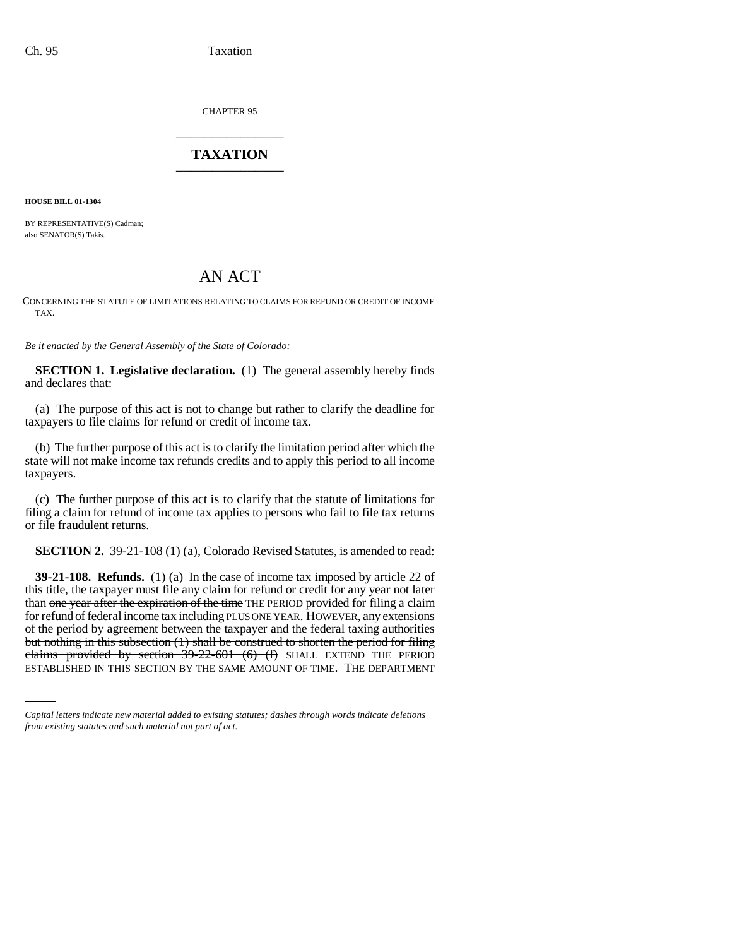CHAPTER 95 \_\_\_\_\_\_\_\_\_\_\_\_\_\_\_

# **TAXATION** \_\_\_\_\_\_\_\_\_\_\_\_\_\_\_

**HOUSE BILL 01-1304**

BY REPRESENTATIVE(S) Cadman; also SENATOR(S) Takis.

# AN ACT

CONCERNING THE STATUTE OF LIMITATIONS RELATING TO CLAIMS FOR REFUND OR CREDIT OF INCOME TAX.

*Be it enacted by the General Assembly of the State of Colorado:*

**SECTION 1. Legislative declaration.** (1) The general assembly hereby finds and declares that:

(a) The purpose of this act is not to change but rather to clarify the deadline for taxpayers to file claims for refund or credit of income tax.

(b) The further purpose of this act is to clarify the limitation period after which the state will not make income tax refunds credits and to apply this period to all income taxpayers.

(c) The further purpose of this act is to clarify that the statute of limitations for filing a claim for refund of income tax applies to persons who fail to file tax returns or file fraudulent returns.

**SECTION 2.** 39-21-108 (1) (a), Colorado Revised Statutes, is amended to read:

but nothing in this subsection (1) shall be construed to shorten the period for filing **39-21-108. Refunds.** (1) (a) In the case of income tax imposed by article 22 of this title, the taxpayer must file any claim for refund or credit for any year not later than one year after the expiration of the time THE PERIOD provided for filing a claim for refund of federal income tax including PLUS ONE YEAR. HOWEVER, any extensions of the period by agreement between the taxpayer and the federal taxing authorities claims provided by section  $39-22-601$  (6) (f) SHALL EXTEND THE PERIOD ESTABLISHED IN THIS SECTION BY THE SAME AMOUNT OF TIME. THE DEPARTMENT

*Capital letters indicate new material added to existing statutes; dashes through words indicate deletions from existing statutes and such material not part of act.*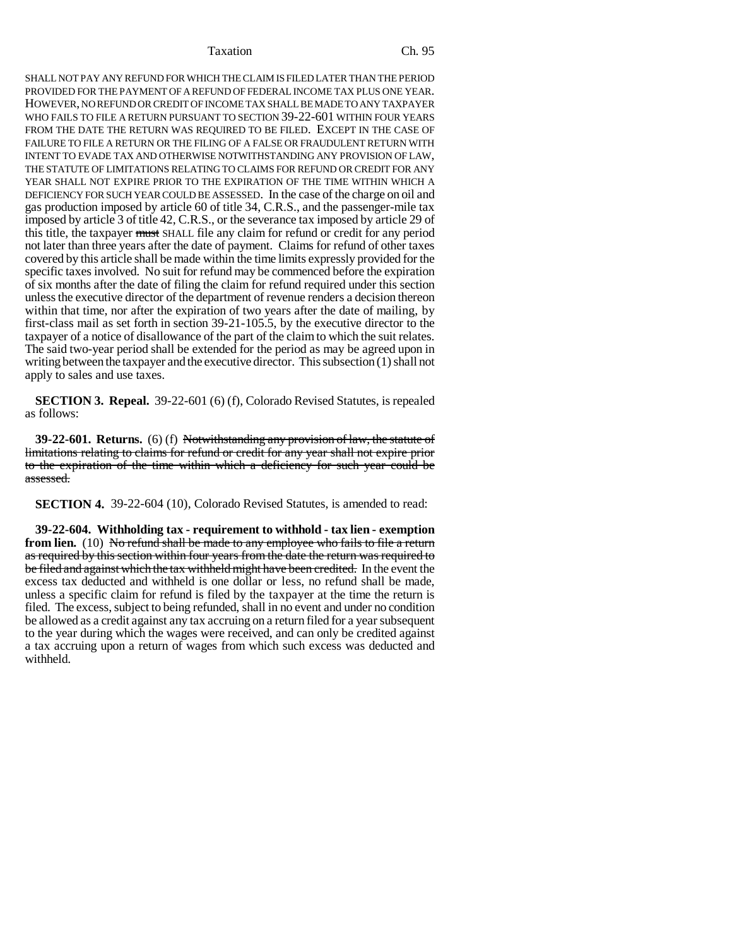### Taxation Ch. 95

SHALL NOT PAY ANY REFUND FOR WHICH THE CLAIM IS FILED LATER THAN THE PERIOD PROVIDED FOR THE PAYMENT OF A REFUND OF FEDERAL INCOME TAX PLUS ONE YEAR. HOWEVER, NO REFUND OR CREDIT OF INCOME TAX SHALL BE MADE TO ANY TAXPAYER WHO FAILS TO FILE A RETURN PURSUANT TO SECTION 39-22-601 WITHIN FOUR YEARS FROM THE DATE THE RETURN WAS REQUIRED TO BE FILED. EXCEPT IN THE CASE OF FAILURE TO FILE A RETURN OR THE FILING OF A FALSE OR FRAUDULENT RETURN WITH INTENT TO EVADE TAX AND OTHERWISE NOTWITHSTANDING ANY PROVISION OF LAW, THE STATUTE OF LIMITATIONS RELATING TO CLAIMS FOR REFUND OR CREDIT FOR ANY YEAR SHALL NOT EXPIRE PRIOR TO THE EXPIRATION OF THE TIME WITHIN WHICH A DEFICIENCY FOR SUCH YEAR COULD BE ASSESSED. In the case of the charge on oil and gas production imposed by article 60 of title 34, C.R.S., and the passenger-mile tax imposed by article 3 of title 42, C.R.S., or the severance tax imposed by article 29 of this title, the taxpayer must SHALL file any claim for refund or credit for any period not later than three years after the date of payment. Claims for refund of other taxes covered by this article shall be made within the time limits expressly provided for the specific taxes involved. No suit for refund may be commenced before the expiration of six months after the date of filing the claim for refund required under this section unless the executive director of the department of revenue renders a decision thereon within that time, nor after the expiration of two years after the date of mailing, by first-class mail as set forth in section 39-21-105.5, by the executive director to the taxpayer of a notice of disallowance of the part of the claim to which the suit relates. The said two-year period shall be extended for the period as may be agreed upon in writing between the taxpayer and the executive director. This subsection (1) shall not apply to sales and use taxes.

**SECTION 3. Repeal.** 39-22-601 (6) (f), Colorado Revised Statutes, is repealed as follows:

**39-22-601. Returns.** (6) (f) Notwithstanding any provision of law, the statute of limitations relating to claims for refund or credit for any year shall not expire prior to the expiration of the time within which a deficiency for such year could be assessed.

**SECTION 4.** 39-22-604 (10), Colorado Revised Statutes, is amended to read:

**39-22-604. Withholding tax - requirement to withhold - tax lien - exemption from lien.** (10) No refund shall be made to any employee who fails to file a return as required by this section within four years from the date the return was required to be filed and against which the tax withheld might have been credited. In the event the excess tax deducted and withheld is one dollar or less, no refund shall be made, unless a specific claim for refund is filed by the taxpayer at the time the return is filed. The excess, subject to being refunded, shall in no event and under no condition be allowed as a credit against any tax accruing on a return filed for a year subsequent to the year during which the wages were received, and can only be credited against a tax accruing upon a return of wages from which such excess was deducted and withheld.